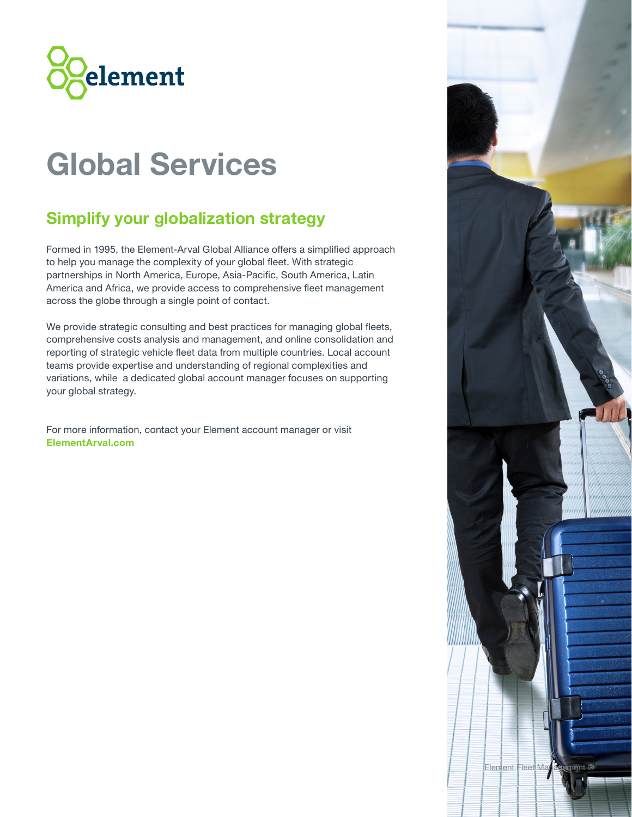

# **Global Services**

# **Simplify your globalization strategy**

Formed in 1995, the Element-Arval Global Alliance offers a simplified approach to help you manage the complexity of your global fleet. With strategic partnerships in North America, Europe, Asia-Pacific, South America, Latin America and Africa, we provide access to comprehensive fleet management across the globe through a single point of contact.

We provide strategic consulting and best practices for managing global fleets, comprehensive costs analysis and management, and online consolidation and reporting of strategic vehicle fleet data from multiple countries. Local account teams provide expertise and understanding of regional complexities and variations, while a dedicated global account manager focuses on supporting your global strategy.

For more information, contact your Element account manager or visit **ElementArval.com**